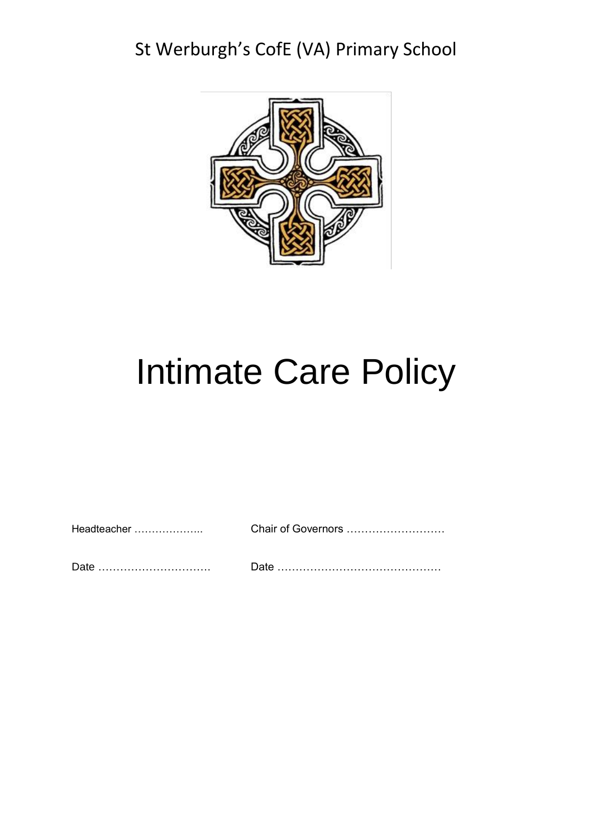

# Intimate Care Policy

| Headteacher ………………… | Chair of Governors |  |
|---------------------|--------------------|--|
|                     |                    |  |
| Date                | Date.              |  |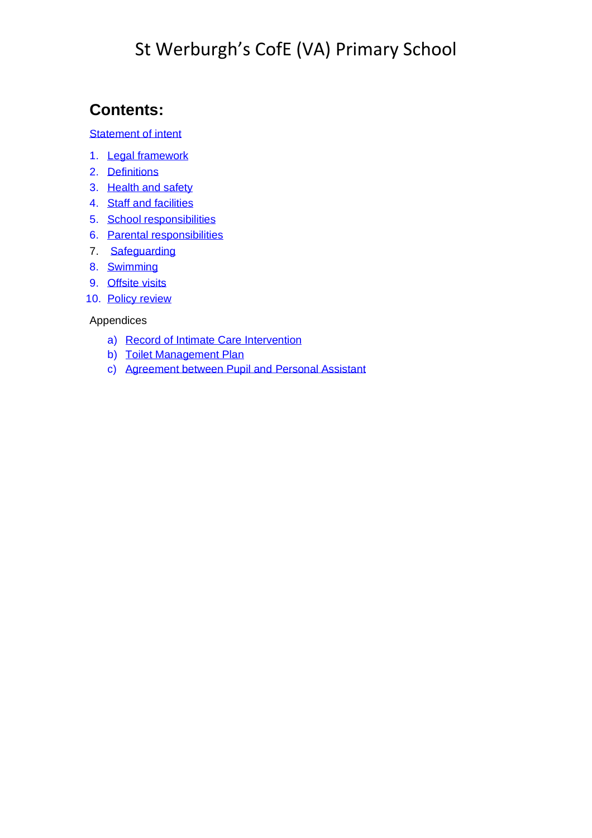### **Contents:**

#### [Statement of intent](#page-2-0)

- 1. [Legal framework](#page-3-0)
- 2. [Definitions](#page-3-0)
- 3. [Health and safety](#page-4-0)
- 4. [Staff and facilities](#page-5-0)
- 5. [School responsibilities](#page-6-0)
- 6. [Parental responsibilities](#page-7-0)
- 7. Safeguarding
- 8. [Swimming](#page-8-0)
- 9. [Offsite visits](#page-8-0)
- 10. [Policy review](#page-8-0)

#### Appendices

- a) [Record of Intimate Care Intervention](#page-9-0)
- b) [Toilet Management Plan](#page-10-0)
- c) [Agreement between Pupil and Personal Assistant](#page-11-0)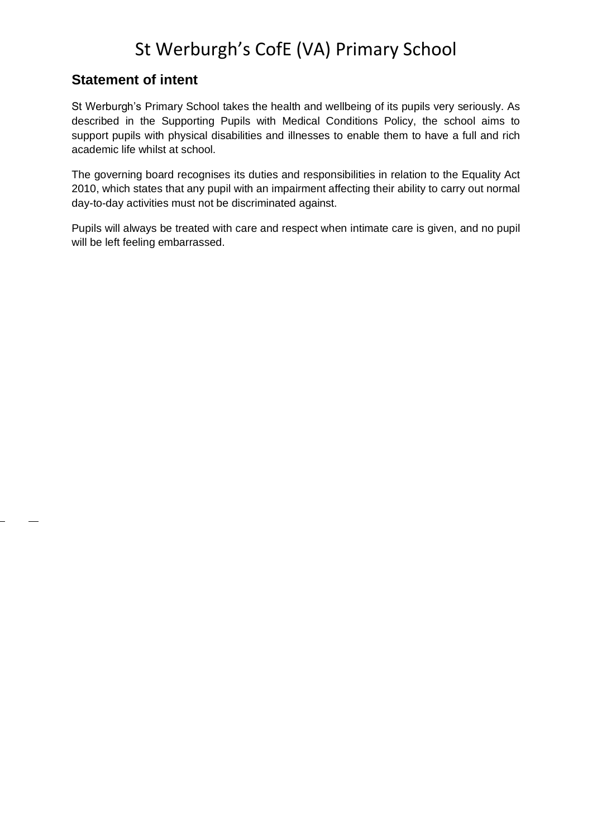#### <span id="page-2-0"></span>**Statement of intent**

St Werburgh's Primary School takes the health and wellbeing of its pupils very seriously. As described in the Supporting Pupils with Medical Conditions Policy, the school aims to support pupils with physical disabilities and illnesses to enable them to have a full and rich academic life whilst at school.

The governing board recognises its duties and responsibilities in relation to the Equality Act 2010, which states that any pupil with an impairment affecting their ability to carry out normal day-to-day activities must not be discriminated against.

Pupils will always be treated with care and respect when intimate care is given, and no pupil will be left feeling embarrassed.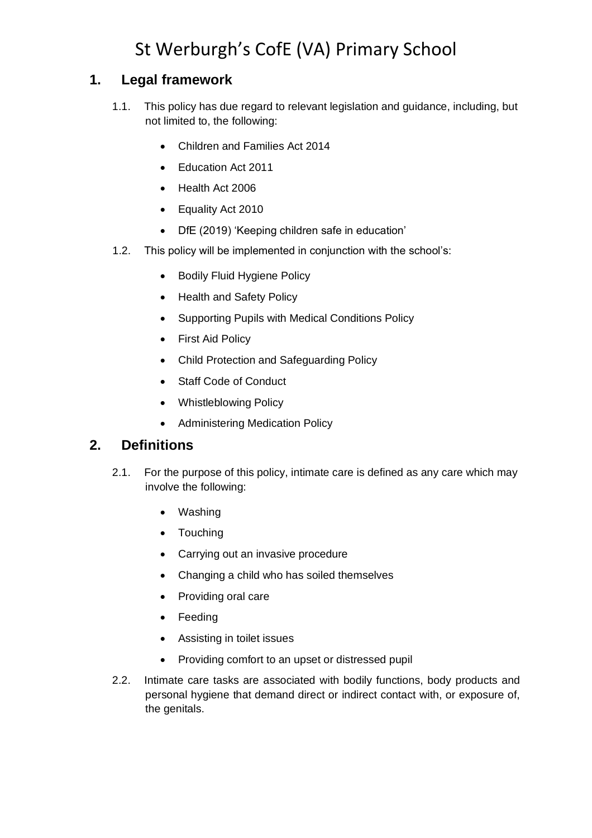#### <span id="page-3-0"></span>**1. Legal framework**

- 1.1. This policy has due regard to relevant legislation and guidance, including, but not limited to, the following:
	- Children and Families Act 2014
	- Education Act 2011
	- Health Act 2006
	- Equality Act 2010
	- DfE (2019) 'Keeping children safe in education'
- 1.2. This policy will be implemented in conjunction with the school's:
	- Bodily Fluid Hygiene Policy
	- Health and Safety Policy
	- Supporting Pupils with Medical Conditions Policy
	- First Aid Policy
	- Child Protection and Safeguarding Policy
	- Staff Code of Conduct
	- Whistleblowing Policy
	- Administering Medication Policy

#### **2. Definitions**

- 2.1. For the purpose of this policy, intimate care is defined as any care which may involve the following:
	- Washing
	- Touching
	- Carrying out an invasive procedure
	- Changing a child who has soiled themselves
	- Providing oral care
	- Feeding
	- Assisting in toilet issues
	- Providing comfort to an upset or distressed pupil
- 2.2. Intimate care tasks are associated with bodily functions, body products and personal hygiene that demand direct or indirect contact with, or exposure of, the genitals.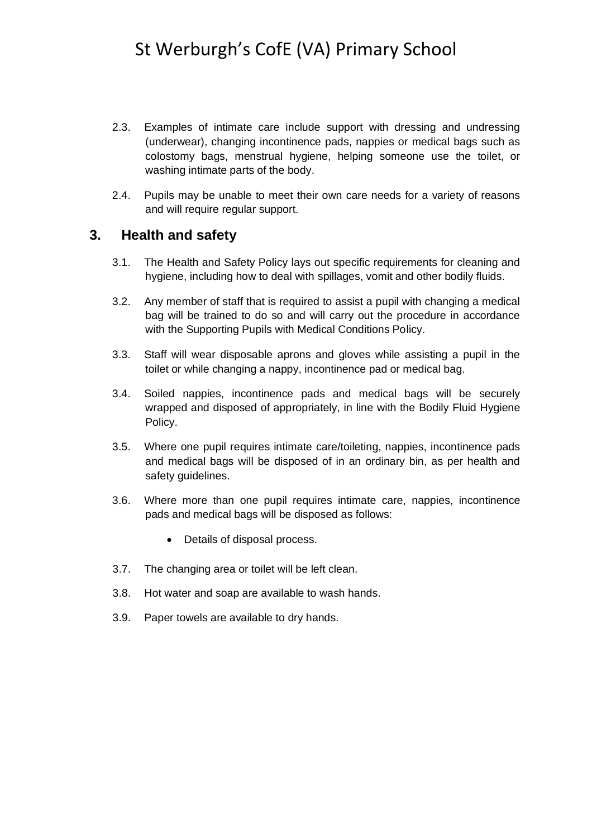- <span id="page-4-0"></span>2.3. Examples of intimate care include support with dressing and undressing (underwear), changing incontinence pads, nappies or medical bags such as colostomy bags, menstrual hygiene, helping someone use the toilet, or washing intimate parts of the body.
- 2.4. Pupils may be unable to meet their own care needs for a variety of reasons and will require regular support.

#### **3. Health and safety**

- 3.1. The Health and Safety Policy lays out specific requirements for cleaning and hygiene, including how to deal with spillages, vomit and other bodily fluids.
- 3.2. Any member of staff that is required to assist a pupil with changing a medical bag will be trained to do so and will carry out the procedure in accordance with the Supporting Pupils with Medical Conditions Policy.
- 3.3. Staff will wear disposable aprons and gloves while assisting a pupil in the toilet or while changing a nappy, incontinence pad or medical bag.
- 3.4. Soiled nappies, incontinence pads and medical bags will be securely wrapped and disposed of appropriately, in line with the Bodily Fluid Hygiene Policy.
- 3.5. Where one pupil requires intimate care/toileting, nappies, incontinence pads and medical bags will be disposed of in an ordinary bin, as per health and safety guidelines.
- 3.6. Where more than one pupil requires intimate care, nappies, incontinence pads and medical bags will be disposed as follows:
	- Details of disposal process.
- 3.7. The changing area or toilet will be left clean.
- 3.8. Hot water and soap are available to wash hands.
- 3.9. Paper towels are available to dry hands.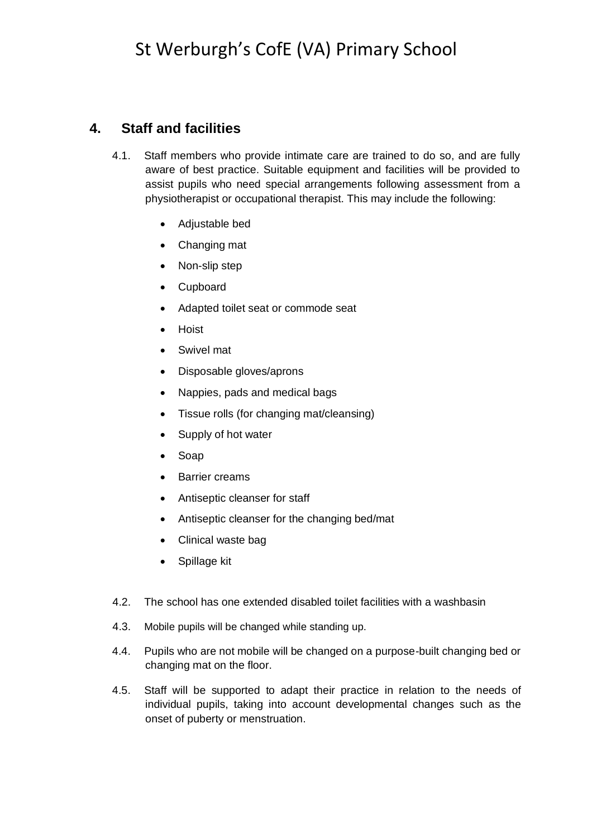#### <span id="page-5-0"></span>**4. Staff and facilities**

- 4.1. Staff members who provide intimate care are trained to do so, and are fully aware of best practice. Suitable equipment and facilities will be provided to assist pupils who need special arrangements following assessment from a physiotherapist or occupational therapist. This may include the following:
	- Adjustable bed
	- Changing mat
	- Non-slip step
	- Cupboard
	- Adapted toilet seat or commode seat
	- Hoist
	- Swivel mat
	- Disposable gloves/aprons
	- Nappies, pads and medical bags
	- Tissue rolls (for changing mat/cleansing)
	- Supply of hot water
	- Soap
	- Barrier creams
	- Antiseptic cleanser for staff
	- Antiseptic cleanser for the changing bed/mat
	- Clinical waste bag
	- Spillage kit
- 4.2. The school has one extended disabled toilet facilities with a washbasin
- 4.3. Mobile pupils will be changed while standing up.
- 4.4. Pupils who are not mobile will be changed on a purpose-built changing bed or changing mat on the floor.
- 4.5. Staff will be supported to adapt their practice in relation to the needs of individual pupils, taking into account developmental changes such as the onset of puberty or menstruation.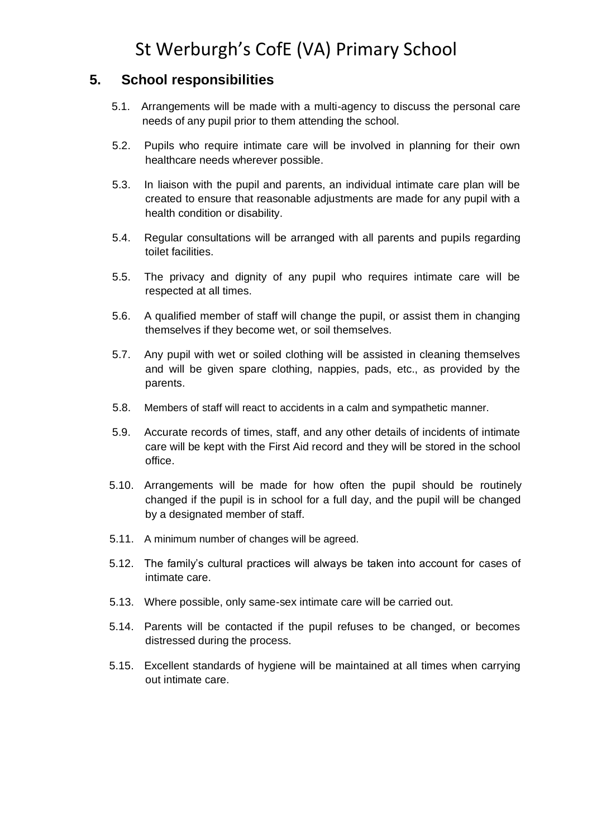#### <span id="page-6-0"></span>**5. School responsibilities**

- 5.1. Arrangements will be made with a multi-agency to discuss the personal care needs of any pupil prior to them attending the school.
- 5.2. Pupils who require intimate care will be involved in planning for their own healthcare needs wherever possible.
- 5.3. In liaison with the pupil and parents, an individual intimate care plan will be created to ensure that reasonable adjustments are made for any pupil with a health condition or disability.
- 5.4. Regular consultations will be arranged with all parents and pupils regarding toilet facilities.
- 5.5. The privacy and dignity of any pupil who requires intimate care will be respected at all times.
- 5.6. A qualified member of staff will change the pupil, or assist them in changing themselves if they become wet, or soil themselves.
- 5.7. Any pupil with wet or soiled clothing will be assisted in cleaning themselves and will be given spare clothing, nappies, pads, etc., as provided by the parents.
- 5.8. Members of staff will react to accidents in a calm and sympathetic manner.
- 5.9. Accurate records of times, staff, and any other details of incidents of intimate care will be kept with the First Aid record and they will be stored in the school office.
- 5.10. Arrangements will be made for how often the pupil should be routinely changed if the pupil is in school for a full day, and the pupil will be changed by a designated member of staff.
- 5.11. A minimum number of changes will be agreed.
- 5.12. The family's cultural practices will always be taken into account for cases of intimate care.
- 5.13. Where possible, only same-sex intimate care will be carried out.
- 5.14. Parents will be contacted if the pupil refuses to be changed, or becomes distressed during the process.
- 5.15. Excellent standards of hygiene will be maintained at all times when carrying out intimate care.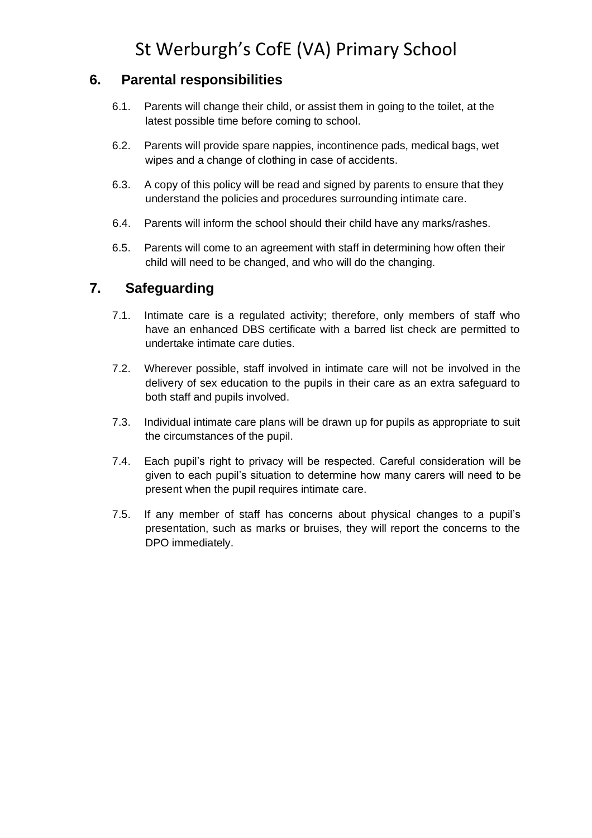#### <span id="page-7-0"></span>**6. Parental responsibilities**

- 6.1. Parents will change their child, or assist them in going to the toilet, at the latest possible time before coming to school.
- 6.2. Parents will provide spare nappies, incontinence pads, medical bags, wet wipes and a change of clothing in case of accidents.
- 6.3. A copy of this policy will be read and signed by parents to ensure that they understand the policies and procedures surrounding intimate care.
- 6.4. Parents will inform the school should their child have any marks/rashes.
- 6.5. Parents will come to an agreement with staff in determining how often their child will need to be changed, and who will do the changing.

#### **7. Safeguarding**

- 7.1. Intimate care is a regulated activity; therefore, only members of staff who have an enhanced DBS certificate with a barred list check are permitted to undertake intimate care duties.
- 7.2. Wherever possible, staff involved in intimate care will not be involved in the delivery of sex education to the pupils in their care as an extra safeguard to both staff and pupils involved.
- 7.3. Individual intimate care plans will be drawn up for pupils as appropriate to suit the circumstances of the pupil.
- 7.4. Each pupil's right to privacy will be respected. Careful consideration will be given to each pupil's situation to determine how many carers will need to be present when the pupil requires intimate care.
- 7.5. If any member of staff has concerns about physical changes to a pupil's presentation, such as marks or bruises, they will report the concerns to the DPO immediately.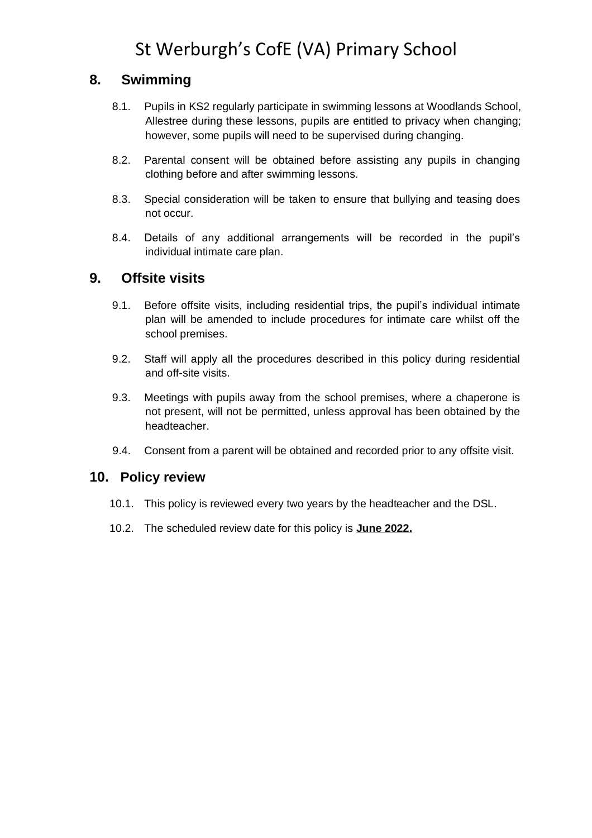#### <span id="page-8-0"></span>**8. Swimming**

- 8.1. Pupils in KS2 regularly participate in swimming lessons at Woodlands School, Allestree during these lessons, pupils are entitled to privacy when changing; however, some pupils will need to be supervised during changing.
- 8.2. Parental consent will be obtained before assisting any pupils in changing clothing before and after swimming lessons.
- 8.3. Special consideration will be taken to ensure that bullying and teasing does not occur.
- 8.4. Details of any additional arrangements will be recorded in the pupil's individual intimate care plan.

#### **9. Offsite visits**

- 9.1. Before offsite visits, including residential trips, the pupil's individual intimate plan will be amended to include procedures for intimate care whilst off the school premises.
- 9.2. Staff will apply all the procedures described in this policy during residential and off-site visits.
- 9.3. Meetings with pupils away from the school premises, where a chaperone is not present, will not be permitted, unless approval has been obtained by the headteacher.
- 9.4. Consent from a parent will be obtained and recorded prior to any offsite visit.

#### **10. Policy review**

- 10.1. This policy is reviewed every two years by the headteacher and the DSL.
- 10.2. The scheduled review date for this policy is **June 2022.**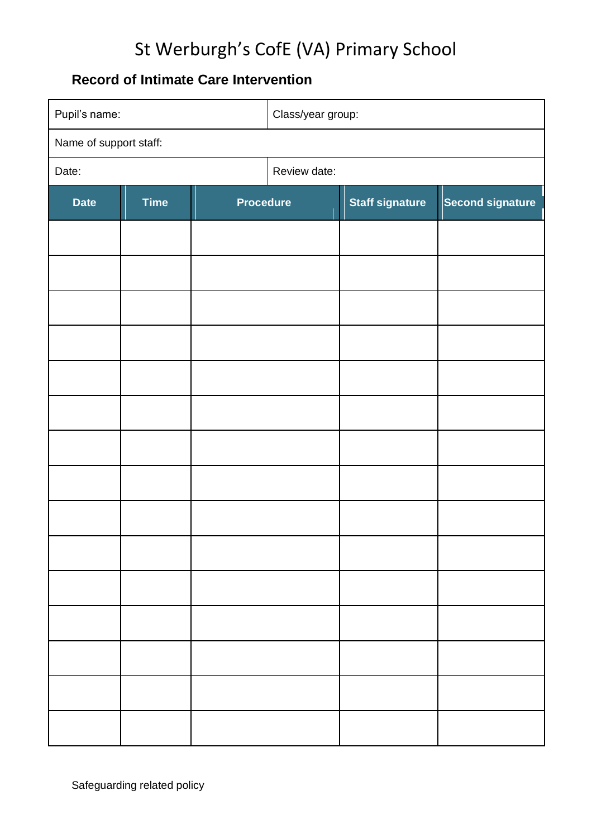### **Record of Intimate Care Intervention**

<span id="page-9-0"></span>

| Pupil's name:          |             | Class/year group: |              |                        |                         |
|------------------------|-------------|-------------------|--------------|------------------------|-------------------------|
| Name of support staff: |             |                   |              |                        |                         |
| Date:                  |             |                   | Review date: |                        |                         |
| <b>Date</b>            | <b>Time</b> | <b>Procedure</b>  |              | <b>Staff signature</b> | <b>Second signature</b> |
|                        |             |                   |              |                        |                         |
|                        |             |                   |              |                        |                         |
|                        |             |                   |              |                        |                         |
|                        |             |                   |              |                        |                         |
|                        |             |                   |              |                        |                         |
|                        |             |                   |              |                        |                         |
|                        |             |                   |              |                        |                         |
|                        |             |                   |              |                        |                         |
|                        |             |                   |              |                        |                         |
|                        |             |                   |              |                        |                         |
|                        |             |                   |              |                        |                         |
|                        |             |                   |              |                        |                         |
|                        |             |                   |              |                        |                         |
|                        |             |                   |              |                        |                         |
|                        |             |                   |              |                        |                         |

Safeguarding related policy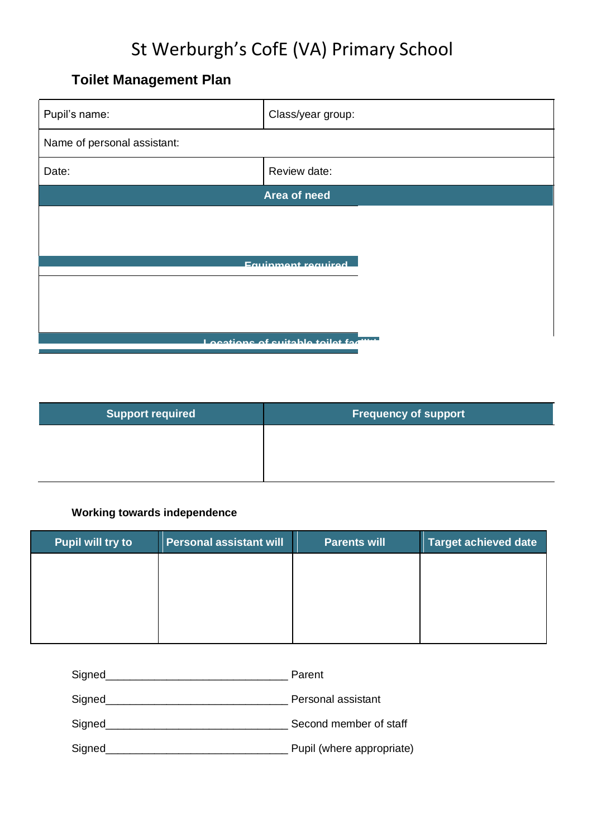### **Toilet Management Plan**

<span id="page-10-0"></span>

| Pupil's name:                        | Class/year group: |  |
|--------------------------------------|-------------------|--|
| Name of personal assistant:          |                   |  |
| Date:                                | Review date:      |  |
| Area of need                         |                   |  |
|                                      |                   |  |
|                                      |                   |  |
| Equipment required                   |                   |  |
|                                      |                   |  |
|                                      |                   |  |
|                                      |                   |  |
| Locations of suitable toilet for the |                   |  |

| <b>Support required</b> | Frequency of support <sup>'</sup> |
|-------------------------|-----------------------------------|
|                         |                                   |
|                         |                                   |
|                         |                                   |

#### **Working towards independence**

| <b>Pupil will try to</b> | <b>Personal assistant will</b> | <b>Parents will</b> | <b>Target achieved date</b> |
|--------------------------|--------------------------------|---------------------|-----------------------------|
|                          |                                |                     |                             |
|                          |                                |                     |                             |
|                          |                                |                     |                             |
|                          |                                |                     |                             |

| Signed | Parent                    |
|--------|---------------------------|
| Signed | Personal assistant        |
| Signed | Second member of staff    |
| Signed | Pupil (where appropriate) |